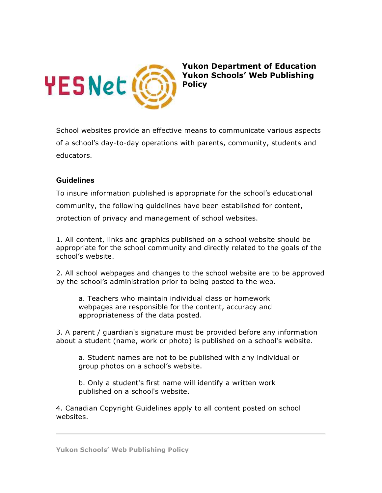

**Yukon Department of Education Yukon Schools' Web Publishing Policy**

School websites provide an effective means to communicate various aspects of a school's day-to-day operations with parents, community, students and educators.

## **Guidelines**

To insure information published is appropriate for the school's educational community, the following guidelines have been established for content, protection of privacy and management of school websites.

1. All content, links and graphics published on a school website should be appropriate for the school community and directly related to the goals of the school's website.

2. All school webpages and changes to the school website are to be approved by the school's administration prior to being posted to the web.

a. Teachers who maintain individual class or homework webpages are responsible for the content, accuracy and appropriateness of the data posted.

3. A parent / guardian's signature must be provided before any information about a student (name, work or photo) is published on a school's website.

a. Student names are not to be published with any individual or group photos on a school's website.

b. Only a student's first name will identify a written work published on a school's website.

4. Canadian Copyright Guidelines apply to all content posted on school websites.

**Yukon Schools' Web Publishing Policy**